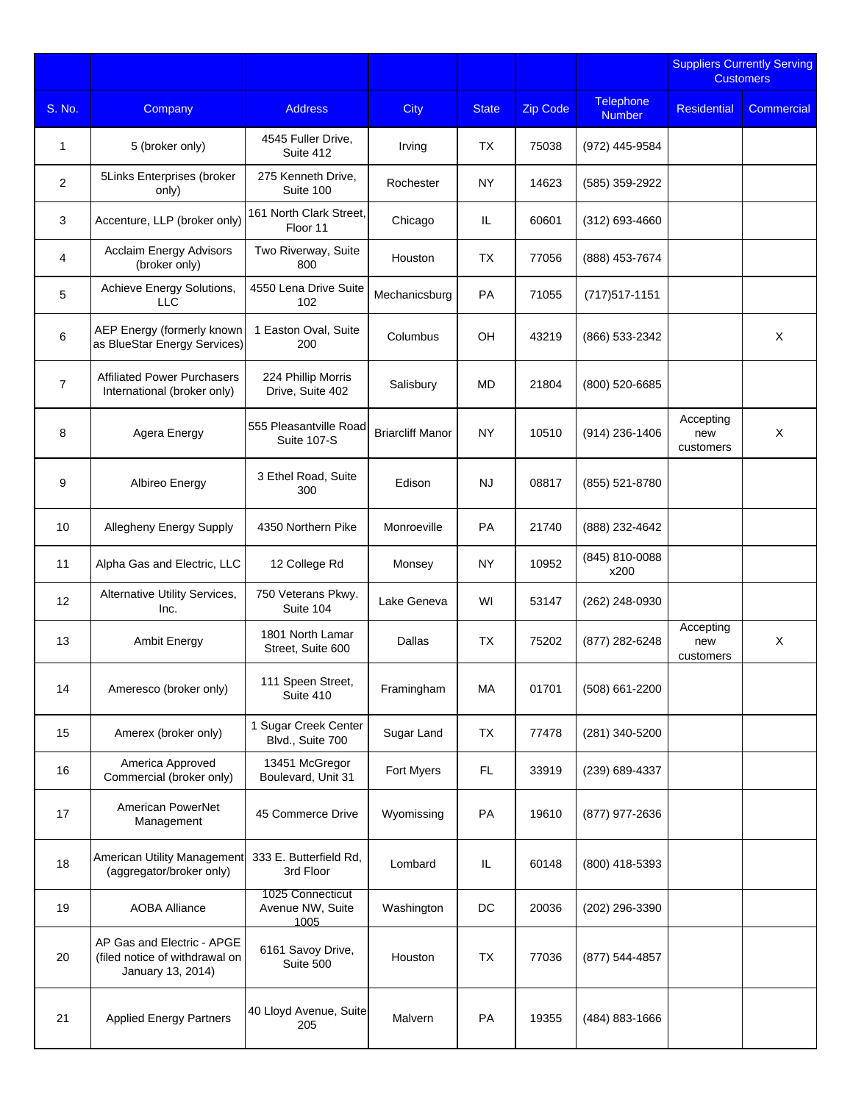|                |                                                                                   |                                              |                         |              |                 |                                   |                               | <b>Suppliers Currently Serving</b><br><b>Customers</b> |
|----------------|-----------------------------------------------------------------------------------|----------------------------------------------|-------------------------|--------------|-----------------|-----------------------------------|-------------------------------|--------------------------------------------------------|
| S. No.         | Company                                                                           | <b>Address</b>                               | City                    | <b>State</b> | <b>Zip Code</b> | <b>Telephone</b><br><b>Number</b> | <b>Residential</b>            | Commercial                                             |
| 1              | 5 (broker only)                                                                   | 4545 Fuller Drive,<br>Suite 412              | Irving                  | <b>TX</b>    | 75038           | (972) 445-9584                    |                               |                                                        |
| $\overline{2}$ | 5Links Enterprises (broker<br>only)                                               | 275 Kenneth Drive,<br>Suite 100              | Rochester               | NY           | 14623           | (585) 359-2922                    |                               |                                                        |
| 3              | Accenture, LLP (broker only)                                                      | 161 North Clark Street,<br>Floor 11          | Chicago                 | IL           | 60601           | $(312)$ 693-4660                  |                               |                                                        |
| $\overline{4}$ | <b>Acclaim Energy Advisors</b><br>(broker only)                                   | Two Riverway, Suite<br>800                   | Houston                 | <b>TX</b>    | 77056           | (888) 453-7674                    |                               |                                                        |
| 5              | Achieve Energy Solutions,<br><b>LLC</b>                                           | 4550 Lena Drive Suite<br>102                 | Mechanicsburg           | PA           | 71055           | (717) 517-1151                    |                               |                                                        |
| 6              | AEP Energy (formerly known<br>as BlueStar Energy Services)                        | 1 Easton Oval, Suite<br>200                  | Columbus                | OH           | 43219           | (866) 533-2342                    |                               | X                                                      |
| $\overline{7}$ | <b>Affiliated Power Purchasers</b><br>International (broker only)                 | 224 Phillip Morris<br>Drive, Suite 402       | Salisbury               | MD           | 21804           | (800) 520-6685                    |                               |                                                        |
| 8              | Agera Energy                                                                      | 555 Pleasantville Road<br>Suite 107-S        | <b>Briarcliff Manor</b> | <b>NY</b>    | 10510           | $(914)$ 236-1406                  | Accepting<br>new<br>customers | X                                                      |
| 9              | Albireo Energy                                                                    | 3 Ethel Road, Suite<br>300                   | Edison                  | <b>NJ</b>    | 08817           | (855) 521-8780                    |                               |                                                        |
| 10             | Allegheny Energy Supply                                                           | 4350 Northern Pike                           | Monroeville             | <b>PA</b>    | 21740           | (888) 232-4642                    |                               |                                                        |
| 11             | Alpha Gas and Electric, LLC                                                       | 12 College Rd                                | Monsey                  | NY           | 10952           | (845) 810-0088<br>x200            |                               |                                                        |
| 12             | Alternative Utility Services,<br>Inc.                                             | 750 Veterans Pkwy.<br>Suite 104              | Lake Geneva             | WI           | 53147           | (262) 248-0930                    |                               |                                                        |
| 13             | Ambit Energy                                                                      | 1801 North Lamar<br>Street, Suite 600        | Dallas                  | <b>TX</b>    | 75202           | (877) 282-6248                    | Accepting<br>new<br>customers | X                                                      |
| 14             | Ameresco (broker only)                                                            | 111 Speen Street,<br>Suite 410               | Framingham              | МA           | 01701           | (508) 661-2200                    |                               |                                                        |
| 15             | Amerex (broker only)                                                              | 1 Sugar Creek Center<br>Blvd., Suite 700     | Sugar Land              | TX           | 77478           | (281) 340-5200                    |                               |                                                        |
| 16             | America Approved<br>Commercial (broker only)                                      | 13451 McGregor<br>Boulevard, Unit 31         | Fort Myers              | FL.          | 33919           | (239) 689-4337                    |                               |                                                        |
| 17             | American PowerNet<br>Management                                                   | 45 Commerce Drive                            | Wyomissing              | PA           | 19610           | (877) 977-2636                    |                               |                                                        |
| 18             | American Utility Management<br>(aggregator/broker only)                           | 333 E. Butterfield Rd.<br>3rd Floor          | Lombard                 | IL           | 60148           | (800) 418-5393                    |                               |                                                        |
| 19             | <b>AOBA Alliance</b>                                                              | 1025 Connecticut<br>Avenue NW, Suite<br>1005 | Washington              | DC           | 20036           | (202) 296-3390                    |                               |                                                        |
| 20             | AP Gas and Electric - APGE<br>(filed notice of withdrawal on<br>January 13, 2014) | 6161 Savoy Drive,<br>Suite 500               | Houston                 | <b>TX</b>    | 77036           | (877) 544-4857                    |                               |                                                        |
| 21             | <b>Applied Energy Partners</b>                                                    | 40 Lloyd Avenue, Suite<br>205                | Malvern                 | PA           | 19355           | (484) 883-1666                    |                               |                                                        |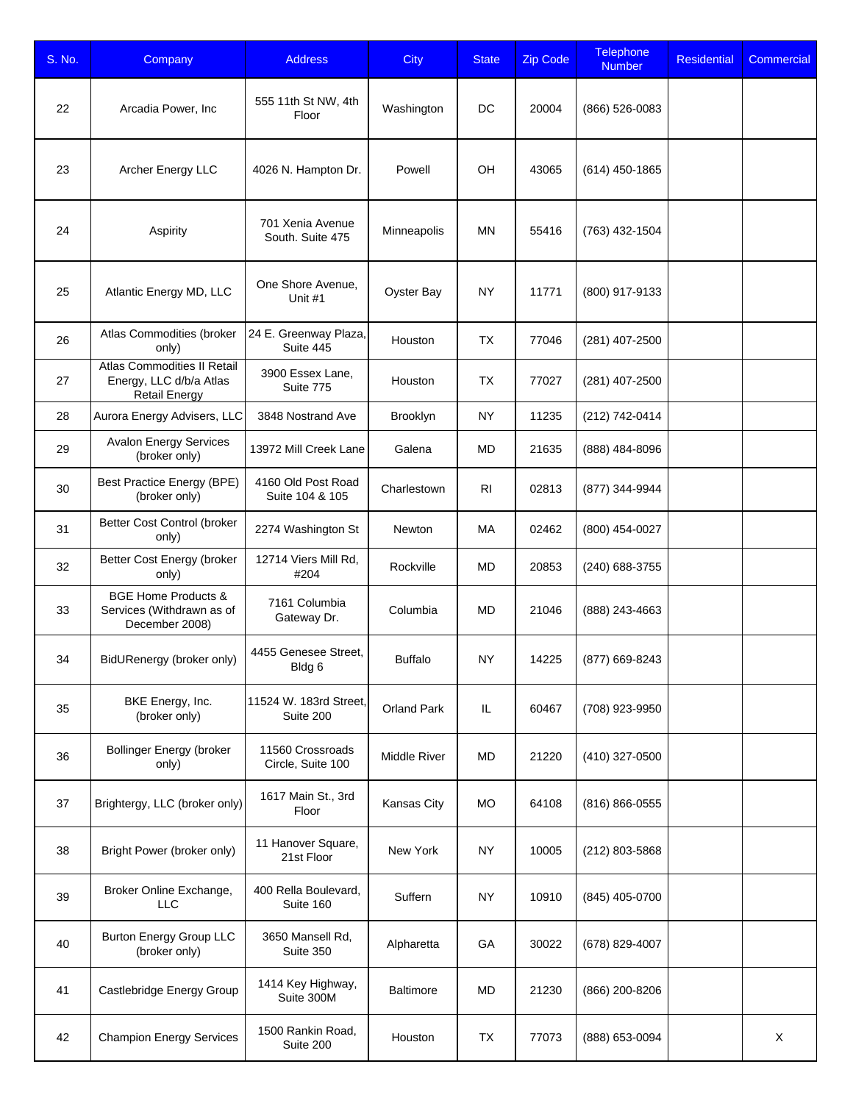| S. No. | Company                                                                        | <b>Address</b>                        | <b>City</b>         | <b>State</b>   | <b>Zip Code</b> | <b>Telephone</b><br><b>Number</b> | Residential | Commercial |
|--------|--------------------------------------------------------------------------------|---------------------------------------|---------------------|----------------|-----------------|-----------------------------------|-------------|------------|
| 22     | Arcadia Power, Inc                                                             | 555 11th St NW, 4th<br>Floor          | Washington          | DC             | 20004           | (866) 526-0083                    |             |            |
| 23     | Archer Energy LLC                                                              | 4026 N. Hampton Dr.                   | Powell              | OH             | 43065           | (614) 450-1865                    |             |            |
| 24     | Aspirity                                                                       | 701 Xenia Avenue<br>South. Suite 475  | Minneapolis         | <b>MN</b>      | 55416           | (763) 432-1504                    |             |            |
| 25     | Atlantic Energy MD, LLC                                                        | One Shore Avenue,<br>Unit #1          | Oyster Bay          | <b>NY</b>      | 11771           | (800) 917-9133                    |             |            |
| 26     | Atlas Commodities (broker<br>only)                                             | 24 E. Greenway Plaza,<br>Suite 445    | Houston             | <b>TX</b>      | 77046           | (281) 407-2500                    |             |            |
| 27     | Atlas Commodities II Retail<br>Energy, LLC d/b/a Atlas<br><b>Retail Energy</b> | 3900 Essex Lane,<br>Suite 775         | Houston             | <b>TX</b>      | 77027           | (281) 407-2500                    |             |            |
| 28     | Aurora Energy Advisers, LLC                                                    | 3848 Nostrand Ave                     | Brooklyn            | <b>NY</b>      | 11235           | (212) 742-0414                    |             |            |
| 29     | <b>Avalon Energy Services</b><br>(broker only)                                 | 13972 Mill Creek Lane                 | Galena              | <b>MD</b>      | 21635           | (888) 484-8096                    |             |            |
| 30     | <b>Best Practice Energy (BPE)</b><br>(broker only)                             | 4160 Old Post Road<br>Suite 104 & 105 | Charlestown         | R <sub>1</sub> | 02813           | (877) 344-9944                    |             |            |
| 31     | Better Cost Control (broker<br>only)                                           | 2274 Washington St                    | Newton              | МA             | 02462           | (800) 454-0027                    |             |            |
| 32     | Better Cost Energy (broker<br>only)                                            | 12714 Viers Mill Rd,<br>#204          | Rockville           | <b>MD</b>      | 20853           | (240) 688-3755                    |             |            |
| 33     | <b>BGE Home Products &amp;</b><br>Services (Withdrawn as of<br>December 2008)  | 7161 Columbia<br>Gateway Dr.          | Columbia            | MD             | 21046           | (888) 243-4663                    |             |            |
| 34     | BidURenergy (broker only)                                                      | 4455 Genesee Street,<br>Bldg 6        | <b>Buffalo</b>      | <b>NY</b>      | 14225           | (877) 669-8243                    |             |            |
| 35     | BKE Energy, Inc.<br>(broker only)                                              | 11524 W. 183rd Street,<br>Suite 200   | Orland Park         | IL             | 60467           | (708) 923-9950                    |             |            |
| 36     | <b>Bollinger Energy (broker</b><br>only)                                       | 11560 Crossroads<br>Circle, Suite 100 | <b>Middle River</b> | <b>MD</b>      | 21220           | (410) 327-0500                    |             |            |
| 37     | Brightergy, LLC (broker only)                                                  | 1617 Main St., 3rd<br>Floor           | Kansas City         | <b>MO</b>      | 64108           | (816) 866-0555                    |             |            |
| 38     | Bright Power (broker only)                                                     | 11 Hanover Square,<br>21st Floor      | New York            | <b>NY</b>      | 10005           | (212) 803-5868                    |             |            |
| 39     | Broker Online Exchange,<br><b>LLC</b>                                          | 400 Rella Boulevard,<br>Suite 160     | Suffern             | <b>NY</b>      | 10910           | (845) 405-0700                    |             |            |
| 40     | <b>Burton Energy Group LLC</b><br>(broker only)                                | 3650 Mansell Rd,<br>Suite 350         | Alpharetta          | GA             | 30022           | (678) 829-4007                    |             |            |
| 41     | Castlebridge Energy Group                                                      | 1414 Key Highway,<br>Suite 300M       | <b>Baltimore</b>    | <b>MD</b>      | 21230           | (866) 200-8206                    |             |            |
| 42     | <b>Champion Energy Services</b>                                                | 1500 Rankin Road,<br>Suite 200        | Houston             | <b>TX</b>      | 77073           | (888) 653-0094                    |             | X          |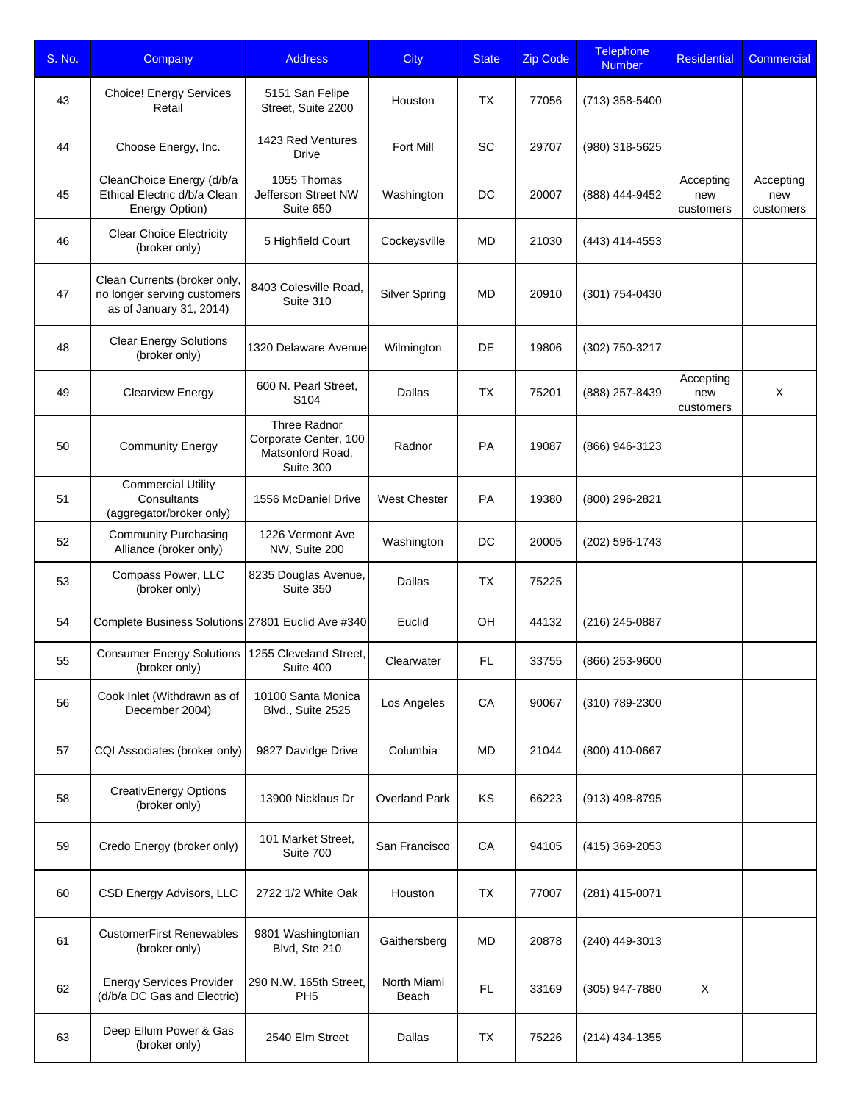| S. No. | Company                                                                                | <b>Address</b>                                                         | <b>City</b>          | <b>State</b> | <b>Zip Code</b> | <b>Telephone</b><br><b>Number</b> | <b>Residential</b>            | Commercial                    |
|--------|----------------------------------------------------------------------------------------|------------------------------------------------------------------------|----------------------|--------------|-----------------|-----------------------------------|-------------------------------|-------------------------------|
| 43     | <b>Choice! Energy Services</b><br>Retail                                               | 5151 San Felipe<br>Street, Suite 2200                                  | Houston              | TX           | 77056           | (713) 358-5400                    |                               |                               |
| 44     | Choose Energy, Inc.                                                                    | 1423 Red Ventures<br>Drive                                             | Fort Mill            | SC           | 29707           | (980) 318-5625                    |                               |                               |
| 45     | CleanChoice Energy (d/b/a<br>Ethical Electric d/b/a Clean<br>Energy Option)            | 1055 Thomas<br>Jefferson Street NW<br>Suite 650                        | Washington           | DC           | 20007           | (888) 444-9452                    | Accepting<br>new<br>customers | Accepting<br>new<br>customers |
| 46     | <b>Clear Choice Electricity</b><br>(broker only)                                       | 5 Highfield Court                                                      | Cockeysville         | MD           | 21030           | (443) 414-4553                    |                               |                               |
| 47     | Clean Currents (broker only,<br>no longer serving customers<br>as of January 31, 2014) | 8403 Colesville Road,<br>Suite 310                                     | <b>Silver Spring</b> | MD           | 20910           | (301) 754-0430                    |                               |                               |
| 48     | <b>Clear Energy Solutions</b><br>(broker only)                                         | 1320 Delaware Avenue                                                   | Wilmington           | DE           | 19806           | (302) 750-3217                    |                               |                               |
| 49     | <b>Clearview Energy</b>                                                                | 600 N. Pearl Street.<br>S <sub>104</sub>                               | Dallas               | TX           | 75201           | (888) 257-8439                    | Accepting<br>new<br>customers | X                             |
| 50     | <b>Community Energy</b>                                                                | Three Radnor<br>Corporate Center, 100<br>Matsonford Road,<br>Suite 300 | Radnor               | PA           | 19087           | (866) 946-3123                    |                               |                               |
| 51     | <b>Commercial Utility</b><br>Consultants<br>(aggregator/broker only)                   | 1556 McDaniel Drive                                                    | <b>West Chester</b>  | PA           | 19380           | (800) 296-2821                    |                               |                               |
| 52     | <b>Community Purchasing</b><br>Alliance (broker only)                                  | 1226 Vermont Ave<br>NW, Suite 200                                      | Washington           | DC           | 20005           | (202) 596-1743                    |                               |                               |
| 53     | Compass Power, LLC<br>(broker only)                                                    | 8235 Douglas Avenue,<br>Suite 350                                      | Dallas               | <b>TX</b>    | 75225           |                                   |                               |                               |
| 54     | Complete Business Solutions 27801 Euclid Ave #340                                      |                                                                        | Euclid               | OH           | 44132           | (216) 245-0887                    |                               |                               |
| 55     | <b>Consumer Energy Solutions</b><br>(broker only)                                      | 1255 Cleveland Street,<br>Suite 400                                    | Clearwater           | FL           | 33755           | (866) 253-9600                    |                               |                               |
| 56     | Cook Inlet (Withdrawn as of<br>December 2004)                                          | 10100 Santa Monica<br>Blvd., Suite 2525                                | Los Angeles          | CA           | 90067           | (310) 789-2300                    |                               |                               |
| 57     | CQI Associates (broker only)                                                           | 9827 Davidge Drive                                                     | Columbia             | MD           | 21044           | (800) 410-0667                    |                               |                               |
| 58     | <b>CreativEnergy Options</b><br>(broker only)                                          | 13900 Nicklaus Dr                                                      | <b>Overland Park</b> | KS           | 66223           | (913) 498-8795                    |                               |                               |
| 59     | Credo Energy (broker only)                                                             | 101 Market Street,<br>Suite 700                                        | San Francisco        | CA           | 94105           | (415) 369-2053                    |                               |                               |
| 60     | CSD Energy Advisors, LLC                                                               | 2722 1/2 White Oak                                                     | Houston              | TX           | 77007           | (281) 415-0071                    |                               |                               |
| 61     | <b>CustomerFirst Renewables</b><br>(broker only)                                       | 9801 Washingtonian<br>Blvd, Ste 210                                    | Gaithersberg         | MD           | 20878           | (240) 449-3013                    |                               |                               |
| 62     | <b>Energy Services Provider</b><br>(d/b/a DC Gas and Electric)                         | 290 N.W. 165th Street,<br>PH <sub>5</sub>                              | North Miami<br>Beach | FL           | 33169           | (305) 947-7880                    | X                             |                               |
| 63     | Deep Ellum Power & Gas<br>(broker only)                                                | 2540 Elm Street                                                        | Dallas               | TX           | 75226           | (214) 434-1355                    |                               |                               |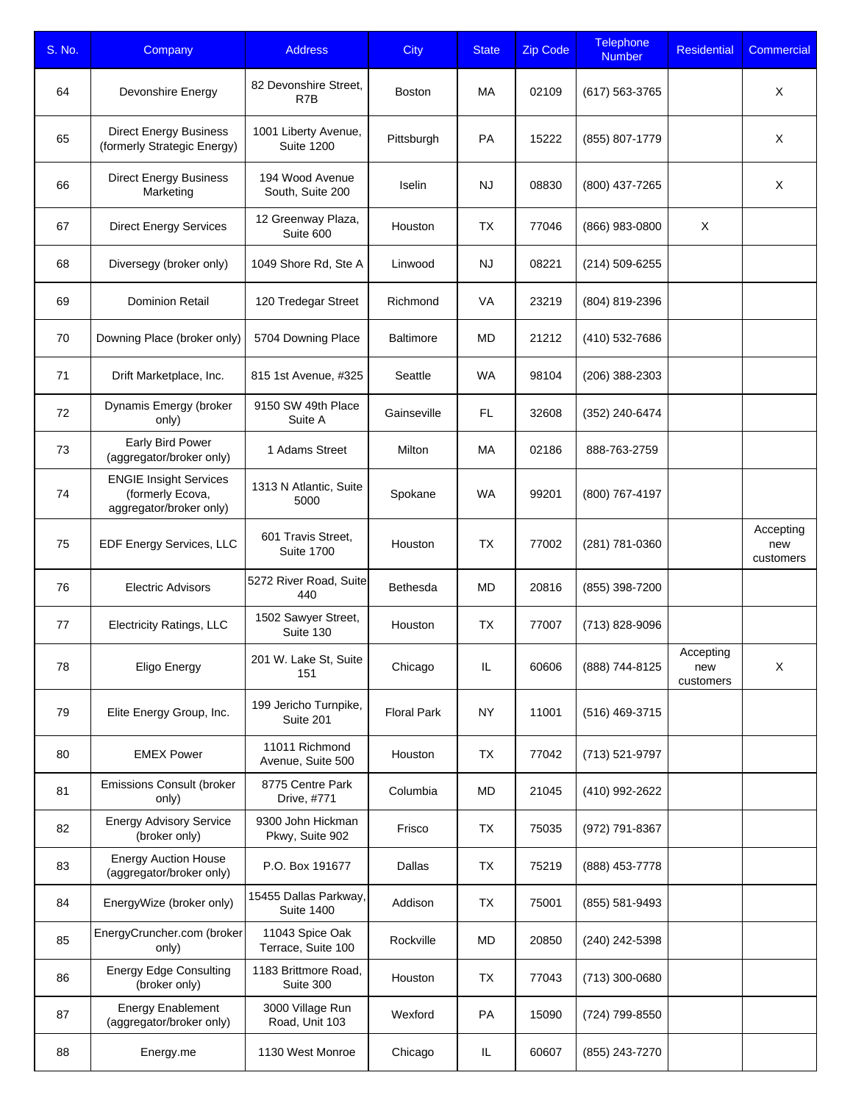| S. No. | Company                                                                      | <b>Address</b>                             | <b>City</b>        | <b>State</b> | <b>Zip Code</b> | <b>Telephone</b><br><b>Number</b> | <b>Residential</b>            | Commercial                    |
|--------|------------------------------------------------------------------------------|--------------------------------------------|--------------------|--------------|-----------------|-----------------------------------|-------------------------------|-------------------------------|
| 64     | Devonshire Energy                                                            | 82 Devonshire Street,<br>R7B               | <b>Boston</b>      | MA           | 02109           | (617) 563-3765                    |                               | X                             |
| 65     | <b>Direct Energy Business</b><br>(formerly Strategic Energy)                 | 1001 Liberty Avenue,<br><b>Suite 1200</b>  | Pittsburgh         | PA           | 15222           | (855) 807-1779                    |                               | X                             |
| 66     | <b>Direct Energy Business</b><br>Marketing                                   | 194 Wood Avenue<br>South, Suite 200        | Iselin             | <b>NJ</b>    | 08830           | (800) 437-7265                    |                               | X                             |
| 67     | <b>Direct Energy Services</b>                                                | 12 Greenway Plaza,<br>Suite 600            | Houston            | <b>TX</b>    | 77046           | (866) 983-0800                    | X                             |                               |
| 68     | Diversegy (broker only)                                                      | 1049 Shore Rd, Ste A                       | Linwood            | <b>NJ</b>    | 08221           | (214) 509-6255                    |                               |                               |
| 69     | <b>Dominion Retail</b>                                                       | 120 Tredegar Street                        | Richmond           | VA           | 23219           | (804) 819-2396                    |                               |                               |
| 70     | Downing Place (broker only)                                                  | 5704 Downing Place                         | <b>Baltimore</b>   | <b>MD</b>    | 21212           | (410) 532-7686                    |                               |                               |
| 71     | Drift Marketplace, Inc.                                                      | 815 1st Avenue, #325                       | Seattle            | <b>WA</b>    | 98104           | (206) 388-2303                    |                               |                               |
| 72     | Dynamis Emergy (broker<br>only)                                              | 9150 SW 49th Place<br>Suite A              | Gainseville        | FL.          | 32608           | (352) 240-6474                    |                               |                               |
| 73     | Early Bird Power<br>(aggregator/broker only)                                 | 1 Adams Street                             | Milton             | MA           | 02186           | 888-763-2759                      |                               |                               |
| 74     | <b>ENGIE Insight Services</b><br>(formerly Ecova,<br>aggregator/broker only) | 1313 N Atlantic, Suite<br>5000             | Spokane            | <b>WA</b>    | 99201           | (800) 767-4197                    |                               |                               |
| 75     | EDF Energy Services, LLC                                                     | 601 Travis Street,<br><b>Suite 1700</b>    | Houston            | TX           | 77002           | (281) 781-0360                    |                               | Accepting<br>new<br>customers |
| 76     | <b>Electric Advisors</b>                                                     | 5272 River Road, Suite<br>440              | <b>Bethesda</b>    | MD           | 20816           | (855) 398-7200                    |                               |                               |
| 77     | <b>Electricity Ratings, LLC</b>                                              | 1502 Sawyer Street,<br>Suite 130           | Houston            | <b>TX</b>    | 77007           | (713) 828-9096                    |                               |                               |
| 78     | Eligo Energy                                                                 | 201 W. Lake St, Suite<br>151               | Chicago            | IL           | 60606           | (888) 744-8125                    | Accepting<br>new<br>customers | X                             |
| 79     | Elite Energy Group, Inc.                                                     | 199 Jericho Turnpike,<br>Suite 201         | <b>Floral Park</b> | NY           | 11001           | (516) 469-3715                    |                               |                               |
| 80     | <b>EMEX Power</b>                                                            | 11011 Richmond<br>Avenue, Suite 500        | Houston            | <b>TX</b>    | 77042           | (713) 521-9797                    |                               |                               |
| 81     | <b>Emissions Consult (broker</b><br>only)                                    | 8775 Centre Park<br>Drive, #771            | Columbia           | MD           | 21045           | (410) 992-2622                    |                               |                               |
| 82     | <b>Energy Advisory Service</b><br>(broker only)                              | 9300 John Hickman<br>Pkwy, Suite 902       | Frisco             | TX           | 75035           | (972) 791-8367                    |                               |                               |
| 83     | <b>Energy Auction House</b><br>(aggregator/broker only)                      | P.O. Box 191677                            | Dallas             | <b>TX</b>    | 75219           | (888) 453-7778                    |                               |                               |
| 84     | EnergyWize (broker only)                                                     | 15455 Dallas Parkway,<br><b>Suite 1400</b> | Addison            | <b>TX</b>    | 75001           | (855) 581-9493                    |                               |                               |
| 85     | EnergyCruncher.com (broker<br>only)                                          | 11043 Spice Oak<br>Terrace, Suite 100      | Rockville          | MD           | 20850           | (240) 242-5398                    |                               |                               |
| 86     | <b>Energy Edge Consulting</b><br>(broker only)                               | 1183 Brittmore Road,<br>Suite 300          | Houston            | <b>TX</b>    | 77043           | (713) 300-0680                    |                               |                               |
| 87     | <b>Energy Enablement</b><br>(aggregator/broker only)                         | 3000 Village Run<br>Road, Unit 103         | Wexford            | PA           | 15090           | (724) 799-8550                    |                               |                               |
| 88     | Energy.me                                                                    | 1130 West Monroe                           | Chicago            | IL           | 60607           | (855) 243-7270                    |                               |                               |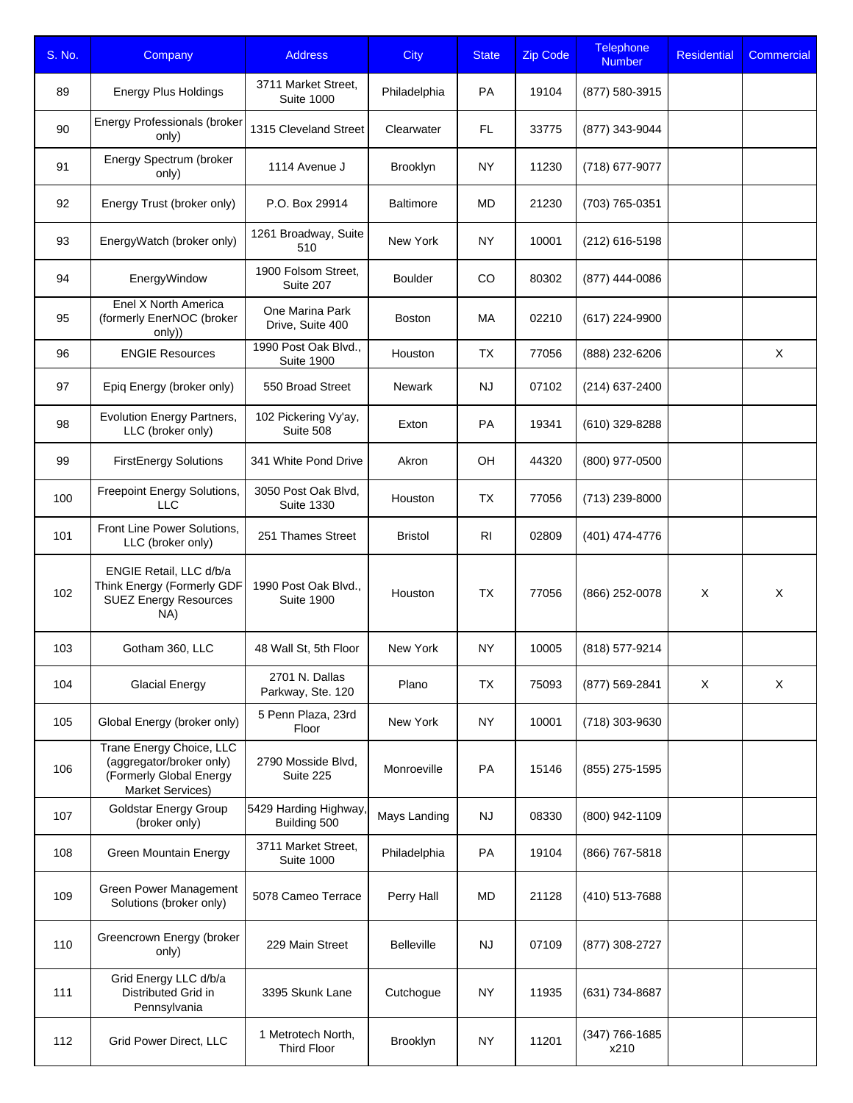| S. No. | Company                                                                                                    | <b>Address</b>                            | <b>City</b>       | <b>State</b> | <b>Zip Code</b> | Telephone<br><b>Number</b> | <b>Residential</b> | Commercial |
|--------|------------------------------------------------------------------------------------------------------------|-------------------------------------------|-------------------|--------------|-----------------|----------------------------|--------------------|------------|
| 89     | <b>Energy Plus Holdings</b>                                                                                | 3711 Market Street,<br><b>Suite 1000</b>  | Philadelphia      | PA           | 19104           | (877) 580-3915             |                    |            |
| 90     | <b>Energy Professionals (broker</b><br>only)                                                               | 1315 Cleveland Street                     | Clearwater        | FL           | 33775           | (877) 343-9044             |                    |            |
| 91     | Energy Spectrum (broker<br>only)                                                                           | 1114 Avenue J                             | Brooklyn          | NY.          | 11230           | (718) 677-9077             |                    |            |
| 92     | Energy Trust (broker only)                                                                                 | P.O. Box 29914                            | <b>Baltimore</b>  | <b>MD</b>    | 21230           | (703) 765-0351             |                    |            |
| 93     | EnergyWatch (broker only)                                                                                  | 1261 Broadway, Suite<br>510               | New York          | <b>NY</b>    | 10001           | (212) 616-5198             |                    |            |
| 94     | EnergyWindow                                                                                               | 1900 Folsom Street,<br>Suite 207          | <b>Boulder</b>    | CO           | 80302           | (877) 444-0086             |                    |            |
| 95     | Enel X North America<br>(formerly EnerNOC (broker<br>only))                                                | One Marina Park<br>Drive, Suite 400       | <b>Boston</b>     | MA           | 02210           | (617) 224-9900             |                    |            |
| 96     | <b>ENGIE Resources</b>                                                                                     | 1990 Post Oak Blvd.,<br><b>Suite 1900</b> | Houston           | TX           | 77056           | (888) 232-6206             |                    | X          |
| 97     | Epiq Energy (broker only)                                                                                  | 550 Broad Street                          | Newark            | <b>NJ</b>    | 07102           | (214) 637-2400             |                    |            |
| 98     | Evolution Energy Partners,<br>LLC (broker only)                                                            | 102 Pickering Vy'ay,<br>Suite 508         | Exton             | PA           | 19341           | (610) 329-8288             |                    |            |
| 99     | <b>FirstEnergy Solutions</b>                                                                               | 341 White Pond Drive                      | Akron             | OH           | 44320           | (800) 977-0500             |                    |            |
| 100    | Freepoint Energy Solutions,<br><b>LLC</b>                                                                  | 3050 Post Oak Blvd,<br><b>Suite 1330</b>  | Houston           | TX           | 77056           | (713) 239-8000             |                    |            |
| 101    | Front Line Power Solutions,<br>LLC (broker only)                                                           | 251 Thames Street                         | <b>Bristol</b>    | RI.          | 02809           | (401) 474-4776             |                    |            |
| 102    | ENGIE Retail, LLC d/b/a<br>Think Energy (Formerly GDF<br><b>SUEZ Energy Resources</b><br>NA)               | 1990 Post Oak Blvd<br><b>Suite 1900</b>   | Houston           | <b>TX</b>    | 77056           | (866) 252-0078             | X                  | X          |
| 103    | Gotham 360, LLC                                                                                            | 48 Wall St, 5th Floor                     | New York          | <b>NY</b>    | 10005           | (818) 577-9214             |                    |            |
| 104    | <b>Glacial Energy</b>                                                                                      | 2701 N. Dallas<br>Parkway, Ste. 120       | Plano             | <b>TX</b>    | 75093           | (877) 569-2841             | Χ                  | X          |
| 105    | Global Energy (broker only)                                                                                | 5 Penn Plaza, 23rd<br>Floor               | New York          | NY           | 10001           | (718) 303-9630             |                    |            |
| 106    | Trane Energy Choice, LLC<br>(aggregator/broker only)<br>(Formerly Global Energy<br><b>Market Services)</b> | 2790 Mosside Blvd,<br>Suite 225           | Monroeville       | PA           | 15146           | (855) 275-1595             |                    |            |
| 107    | <b>Goldstar Energy Group</b><br>(broker only)                                                              | 5429 Harding Highway,<br>Building 500     | Mays Landing      | NJ           | 08330           | (800) 942-1109             |                    |            |
| 108    | Green Mountain Energy                                                                                      | 3711 Market Street,<br><b>Suite 1000</b>  | Philadelphia      | PA           | 19104           | (866) 767-5818             |                    |            |
| 109    | Green Power Management<br>Solutions (broker only)                                                          | 5078 Cameo Terrace                        | Perry Hall        | MD           | 21128           | (410) 513-7688             |                    |            |
| 110    | Greencrown Energy (broker<br>only)                                                                         | 229 Main Street                           | <b>Belleville</b> | NJ           | 07109           | (877) 308-2727             |                    |            |
| 111    | Grid Energy LLC d/b/a<br>Distributed Grid in<br>Pennsylvania                                               | 3395 Skunk Lane                           | Cutchogue         | NY           | 11935           | (631) 734-8687             |                    |            |
| 112    | Grid Power Direct, LLC                                                                                     | 1 Metrotech North,<br><b>Third Floor</b>  | Brooklyn          | <b>NY</b>    | 11201           | (347) 766-1685<br>x210     |                    |            |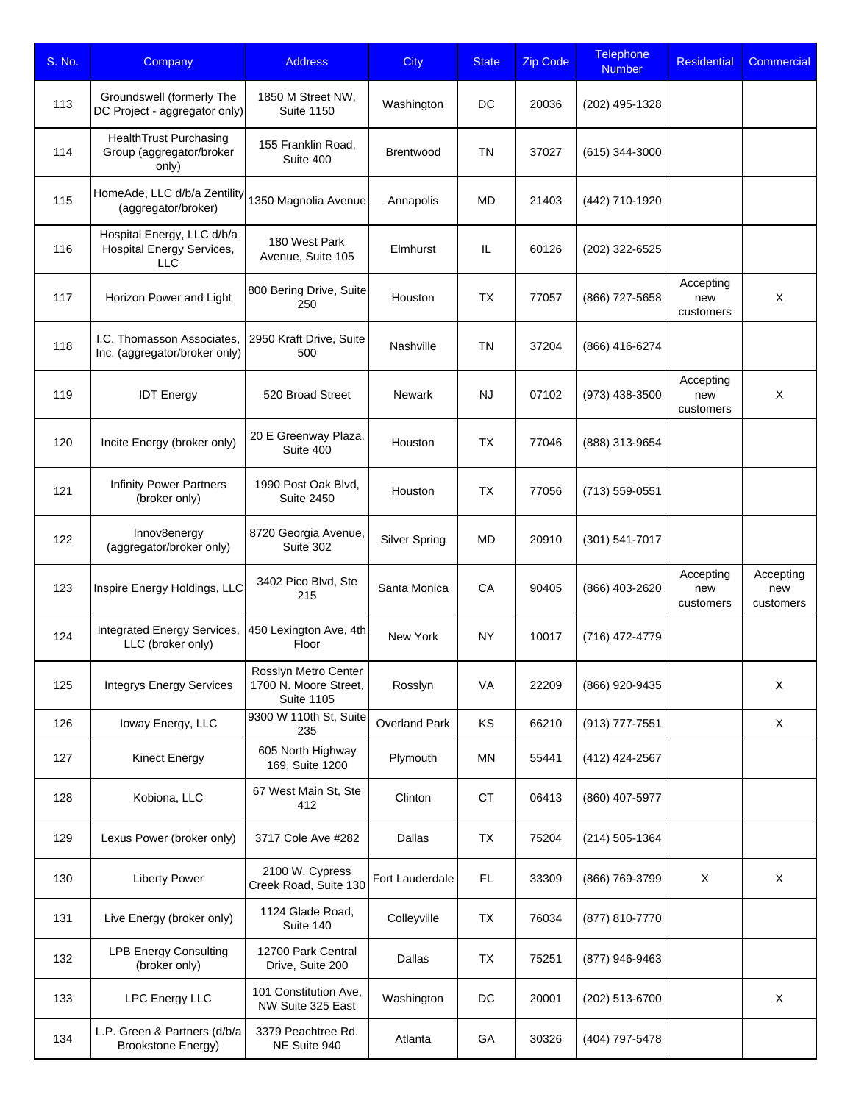| S. No. | Company                                                                      | <b>Address</b>                                                     | <b>City</b>          | <b>State</b> | <b>Zip Code</b> | Telephone<br><b>Number</b> | <b>Residential</b>            | <b>Commercial</b>             |
|--------|------------------------------------------------------------------------------|--------------------------------------------------------------------|----------------------|--------------|-----------------|----------------------------|-------------------------------|-------------------------------|
| 113    | Groundswell (formerly The<br>DC Project - aggregator only)                   | 1850 M Street NW,<br><b>Suite 1150</b>                             | Washington           | DC.          | 20036           | (202) 495-1328             |                               |                               |
| 114    | HealthTrust Purchasing<br>Group (aggregator/broker<br>only)                  | 155 Franklin Road,<br>Suite 400                                    | <b>Brentwood</b>     | TN           | 37027           | $(615)$ 344-3000           |                               |                               |
| 115    | HomeAde, LLC d/b/a Zentility<br>(aggregator/broker)                          | 1350 Magnolia Avenue                                               | Annapolis            | MD           | 21403           | (442) 710-1920             |                               |                               |
| 116    | Hospital Energy, LLC d/b/a<br><b>Hospital Energy Services,</b><br><b>LLC</b> | 180 West Park<br>Avenue, Suite 105                                 | Elmhurst             | IL           | 60126           | (202) 322-6525             |                               |                               |
| 117    | Horizon Power and Light                                                      | 800 Bering Drive, Suite<br>250                                     | Houston              | <b>TX</b>    | 77057           | (866) 727-5658             | Accepting<br>new<br>customers | X                             |
| 118    | I.C. Thomasson Associates,<br>Inc. (aggregator/broker only)                  | 2950 Kraft Drive, Suite<br>500                                     | Nashville            | TN           | 37204           | (866) 416-6274             |                               |                               |
| 119    | <b>IDT Energy</b>                                                            | 520 Broad Street                                                   | <b>Newark</b>        | <b>NJ</b>    | 07102           | (973) 438-3500             | Accepting<br>new<br>customers | X                             |
| 120    | Incite Energy (broker only)                                                  | 20 E Greenway Plaza,<br>Suite 400                                  | Houston              | <b>TX</b>    | 77046           | (888) 313-9654             |                               |                               |
| 121    | <b>Infinity Power Partners</b><br>(broker only)                              | 1990 Post Oak Blvd,<br><b>Suite 2450</b>                           | Houston              | <b>TX</b>    | 77056           | (713) 559-0551             |                               |                               |
| 122    | Innov8energy<br>(aggregator/broker only)                                     | 8720 Georgia Avenue,<br>Suite 302                                  | Silver Spring        | MD           | 20910           | (301) 541-7017             |                               |                               |
| 123    | Inspire Energy Holdings, LLC                                                 | 3402 Pico Blvd, Ste<br>215                                         | Santa Monica         | <b>CA</b>    | 90405           | (866) 403-2620             | Accepting<br>new<br>customers | Accepting<br>new<br>customers |
| 124    | Integrated Energy Services,<br>LLC (broker only)                             | 450 Lexington Ave, 4th<br>Floor                                    | New York             | <b>NY</b>    | 10017           | (716) 472-4779             |                               |                               |
| 125    | <b>Integrys Energy Services</b>                                              | Rosslyn Metro Center<br>1700 N. Moore Street,<br><b>Suite 1105</b> | Rosslyn              | VA           | 22209           | (866) 920-9435             |                               | X                             |
| 126    | loway Energy, LLC                                                            | 9300 W 110th St, Suite<br>235                                      | <b>Overland Park</b> | KS           | 66210           | (913) 777-7551             |                               | X                             |
| 127    | Kinect Energy                                                                | 605 North Highway<br>169, Suite 1200                               | Plymouth             | MN           | 55441           | (412) 424-2567             |                               |                               |
| 128    | Kobiona, LLC                                                                 | 67 West Main St, Ste<br>412                                        | Clinton              | СT           | 06413           | (860) 407-5977             |                               |                               |
| 129    | Lexus Power (broker only)                                                    | 3717 Cole Ave #282                                                 | Dallas               | <b>TX</b>    | 75204           | $(214)$ 505-1364           |                               |                               |
| 130    | <b>Liberty Power</b>                                                         | 2100 W. Cypress<br>Creek Road, Suite 130                           | Fort Lauderdale      | FL.          | 33309           | (866) 769-3799             | X                             | X                             |
| 131    | Live Energy (broker only)                                                    | 1124 Glade Road,<br>Suite 140                                      | Colleyville          | <b>TX</b>    | 76034           | (877) 810-7770             |                               |                               |
| 132    | <b>LPB Energy Consulting</b><br>(broker only)                                | 12700 Park Central<br>Drive, Suite 200                             | Dallas               | TX           | 75251           | (877) 946-9463             |                               |                               |
| 133    | <b>LPC Energy LLC</b>                                                        | 101 Constitution Ave,<br>NW Suite 325 East                         | Washington           | DC           | 20001           | (202) 513-6700             |                               | X                             |
| 134    | L.P. Green & Partners (d/b/a<br><b>Brookstone Energy)</b>                    | 3379 Peachtree Rd.<br>NE Suite 940                                 | Atlanta              | GA           | 30326           | (404) 797-5478             |                               |                               |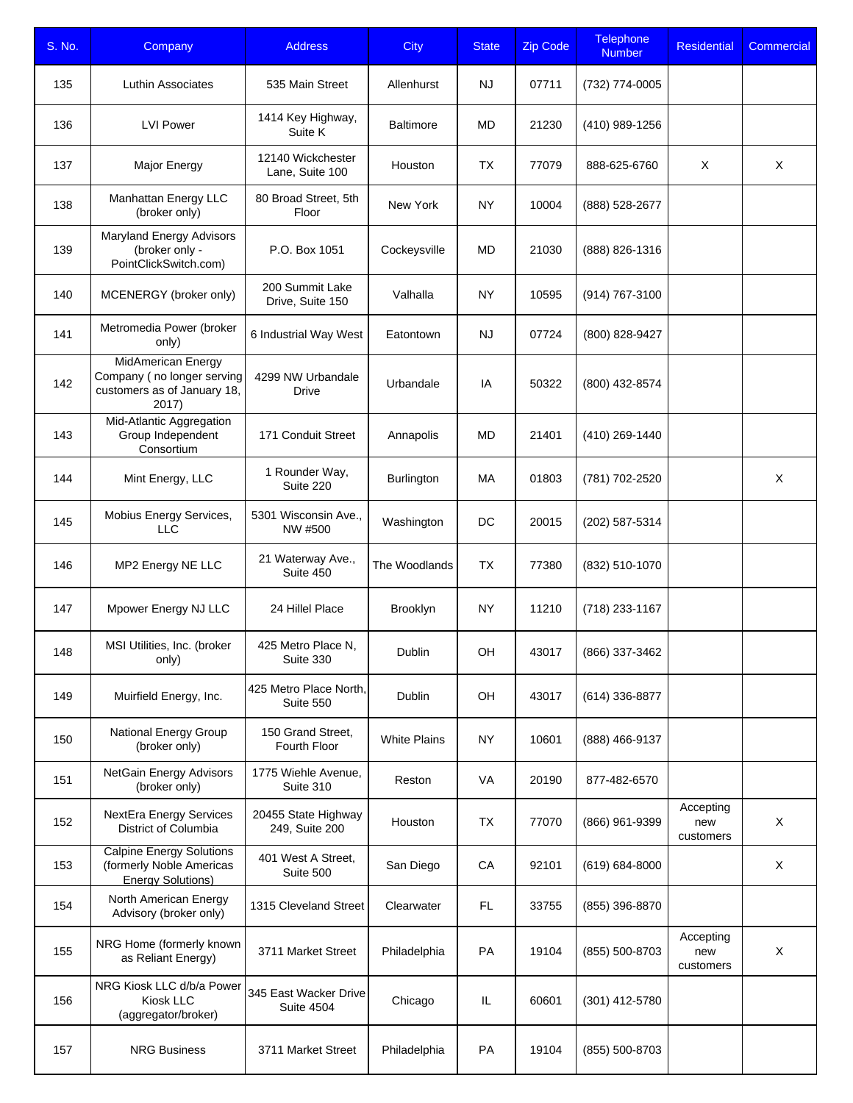| S. No. | Company                                                                                  | <b>Address</b>                             | <b>City</b>         | <b>State</b> | <b>Zip Code</b> | <b>Telephone</b><br><b>Number</b> | <b>Residential</b>            | Commercial |
|--------|------------------------------------------------------------------------------------------|--------------------------------------------|---------------------|--------------|-----------------|-----------------------------------|-------------------------------|------------|
| 135    | Luthin Associates                                                                        | 535 Main Street                            | Allenhurst          | <b>NJ</b>    | 07711           | (732) 774-0005                    |                               |            |
| 136    | <b>LVI Power</b>                                                                         | 1414 Key Highway,<br>Suite K               | <b>Baltimore</b>    | MD           | 21230           | (410) 989-1256                    |                               |            |
| 137    | Major Energy                                                                             | 12140 Wickchester<br>Lane, Suite 100       | Houston             | <b>TX</b>    | 77079           | 888-625-6760                      | X                             | X          |
| 138    | Manhattan Energy LLC<br>(broker only)                                                    | 80 Broad Street, 5th<br>Floor              | New York            | <b>NY</b>    | 10004           | (888) 528-2677                    |                               |            |
| 139    | <b>Maryland Energy Advisors</b><br>(broker only -<br>PointClickSwitch.com)               | P.O. Box 1051                              | Cockeysville        | <b>MD</b>    | 21030           | (888) 826-1316                    |                               |            |
| 140    | MCENERGY (broker only)                                                                   | 200 Summit Lake<br>Drive, Suite 150        | Valhalla            | <b>NY</b>    | 10595           | (914) 767-3100                    |                               |            |
| 141    | Metromedia Power (broker<br>only)                                                        | 6 Industrial Way West                      | Eatontown           | <b>NJ</b>    | 07724           | (800) 828-9427                    |                               |            |
| 142    | MidAmerican Energy<br>Company (no longer serving<br>customers as of January 18,<br>2017) | 4299 NW Urbandale<br>Drive                 | Urbandale           | IA           | 50322           | (800) 432-8574                    |                               |            |
| 143    | Mid-Atlantic Aggregation<br>Group Independent<br>Consortium                              | 171 Conduit Street                         | Annapolis           | MD           | 21401           | (410) 269-1440                    |                               |            |
| 144    | Mint Energy, LLC                                                                         | 1 Rounder Way,<br>Suite 220                | <b>Burlington</b>   | МA           | 01803           | (781) 702-2520                    |                               | X          |
| 145    | Mobius Energy Services,<br>LLC                                                           | 5301 Wisconsin Ave.,<br>NW #500            | Washington          | DC           | 20015           | (202) 587-5314                    |                               |            |
| 146    | MP2 Energy NE LLC                                                                        | 21 Waterway Ave.,<br>Suite 450             | The Woodlands       | <b>TX</b>    | 77380           | (832) 510-1070                    |                               |            |
| 147    | Mpower Energy NJ LLC                                                                     | 24 Hillel Place                            | Brooklyn            | <b>NY</b>    | 11210           | (718) 233-1167                    |                               |            |
| 148    | MSI Utilities, Inc. (broker<br>only)                                                     | 425 Metro Place N,<br>Suite 330            | Dublin              | OH           | 43017           | (866) 337-3462                    |                               |            |
| 149    | Muirfield Energy, Inc.                                                                   | 425 Metro Place North,<br>Suite 550        | Dublin              | OH           | 43017           | (614) 336-8877                    |                               |            |
| 150    | National Energy Group<br>(broker only)                                                   | 150 Grand Street,<br>Fourth Floor          | <b>White Plains</b> | NY           | 10601           | (888) 466-9137                    |                               |            |
| 151    | NetGain Energy Advisors<br>(broker only)                                                 | 1775 Wiehle Avenue,<br>Suite 310           | Reston              | VA           | 20190           | 877-482-6570                      |                               |            |
| 152    | NextEra Energy Services<br>District of Columbia                                          | 20455 State Highway<br>249, Suite 200      | Houston             | <b>TX</b>    | 77070           | (866) 961-9399                    | Accepting<br>new<br>customers | $\times$   |
| 153    | <b>Calpine Energy Solutions</b><br>(formerly Noble Americas<br><b>Energy Solutions)</b>  | 401 West A Street,<br>Suite 500            | San Diego           | CA           | 92101           | $(619) 684 - 8000$                |                               | X          |
| 154    | North American Energy<br>Advisory (broker only)                                          | 1315 Cleveland Street                      | Clearwater          | FL           | 33755           | (855) 396-8870                    |                               |            |
| 155    | NRG Home (formerly known<br>as Reliant Energy)                                           | 3711 Market Street                         | Philadelphia        | PA           | 19104           | (855) 500-8703                    | Accepting<br>new<br>customers | X          |
| 156    | NRG Kiosk LLC d/b/a Power<br>Kiosk LLC<br>(aggregator/broker)                            | 345 East Wacker Drive<br><b>Suite 4504</b> | Chicago             | IL           | 60601           | $(301)$ 412-5780                  |                               |            |
| 157    | <b>NRG Business</b>                                                                      | 3711 Market Street                         | Philadelphia        | PA           | 19104           | (855) 500-8703                    |                               |            |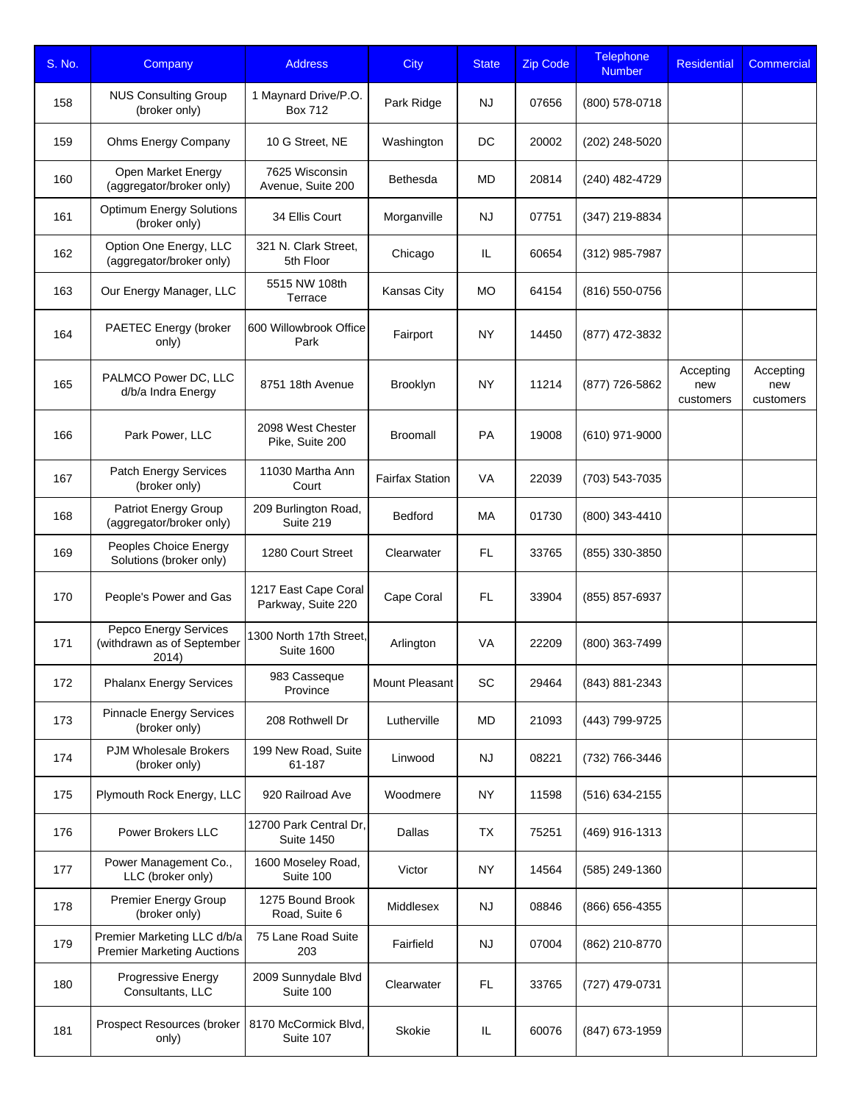| S. No. | Company                                                             | <b>Address</b>                               | <b>City</b>            | <b>State</b> | <b>Zip Code</b> | <b>Telephone</b><br><b>Number</b> | <b>Residential</b>            | Commercial                    |
|--------|---------------------------------------------------------------------|----------------------------------------------|------------------------|--------------|-----------------|-----------------------------------|-------------------------------|-------------------------------|
| 158    | <b>NUS Consulting Group</b><br>(broker only)                        | 1 Maynard Drive/P.O.<br><b>Box 712</b>       | Park Ridge             | <b>NJ</b>    | 07656           | (800) 578-0718                    |                               |                               |
| 159    | Ohms Energy Company                                                 | 10 G Street, NE                              | Washington             | DC           | 20002           | (202) 248-5020                    |                               |                               |
| 160    | Open Market Energy<br>(aggregator/broker only)                      | 7625 Wisconsin<br>Avenue, Suite 200          | <b>Bethesda</b>        | MD           | 20814           | (240) 482-4729                    |                               |                               |
| 161    | <b>Optimum Energy Solutions</b><br>(broker only)                    | 34 Ellis Court                               | Morganville            | <b>NJ</b>    | 07751           | (347) 219-8834                    |                               |                               |
| 162    | Option One Energy, LLC<br>(aggregator/broker only)                  | 321 N. Clark Street,<br>5th Floor            | Chicago                | IL           | 60654           | (312) 985-7987                    |                               |                               |
| 163    | Our Energy Manager, LLC                                             | 5515 NW 108th<br>Terrace                     | <b>Kansas City</b>     | <b>MO</b>    | 64154           | (816) 550-0756                    |                               |                               |
| 164    | PAETEC Energy (broker<br>only)                                      | 600 Willowbrook Office<br>Park               | Fairport               | <b>NY</b>    | 14450           | (877) 472-3832                    |                               |                               |
| 165    | PALMCO Power DC, LLC<br>d/b/a Indra Energy                          | 8751 18th Avenue                             | Brooklyn               | <b>NY</b>    | 11214           | (877) 726-5862                    | Accepting<br>new<br>customers | Accepting<br>new<br>customers |
| 166    | Park Power, LLC                                                     | 2098 West Chester<br>Pike, Suite 200         | <b>Broomall</b>        | PA           | 19008           | (610) 971-9000                    |                               |                               |
| 167    | Patch Energy Services<br>(broker only)                              | 11030 Martha Ann<br>Court                    | <b>Fairfax Station</b> | VA           | 22039           | (703) 543-7035                    |                               |                               |
| 168    | Patriot Energy Group<br>(aggregator/broker only)                    | 209 Burlington Road,<br>Suite 219            | Bedford                | МA           | 01730           | (800) 343-4410                    |                               |                               |
| 169    | Peoples Choice Energy<br>Solutions (broker only)                    | 1280 Court Street                            | Clearwater             | FL.          | 33765           | (855) 330-3850                    |                               |                               |
| 170    | People's Power and Gas                                              | 1217 East Cape Coral<br>Parkway, Suite 220   | Cape Coral             | FL.          | 33904           | (855) 857-6937                    |                               |                               |
| 171    | <b>Pepco Energy Services</b><br>(withdrawn as of September<br>2014) | 1300 North 17th Street,<br><b>Suite 1600</b> | Arlington              | VA           | 22209           | (800) 363-7499                    |                               |                               |
| 172    | <b>Phalanx Energy Services</b>                                      | 983 Casseque<br>Province                     | Mount Pleasant         | SC           | 29464           | (843) 881-2343                    |                               |                               |
| 173    | <b>Pinnacle Energy Services</b><br>(broker only)                    | 208 Rothwell Dr                              | Lutherville            | MD           | 21093           | (443) 799-9725                    |                               |                               |
| 174    | <b>PJM Wholesale Brokers</b><br>(broker only)                       | 199 New Road, Suite<br>61-187                | Linwood                | <b>NJ</b>    | 08221           | (732) 766-3446                    |                               |                               |
| 175    | Plymouth Rock Energy, LLC                                           | 920 Railroad Ave                             | Woodmere               | NY           | 11598           | (516) 634-2155                    |                               |                               |
| 176    | Power Brokers LLC                                                   | 12700 Park Central Dr,<br><b>Suite 1450</b>  | Dallas                 | <b>TX</b>    | 75251           | (469) 916-1313                    |                               |                               |
| 177    | Power Management Co.,<br>LLC (broker only)                          | 1600 Moseley Road,<br>Suite 100              | Victor                 | NY           | 14564           | (585) 249-1360                    |                               |                               |
| 178    | Premier Energy Group<br>(broker only)                               | 1275 Bound Brook<br>Road, Suite 6            | Middlesex              | NJ           | 08846           | (866) 656-4355                    |                               |                               |
| 179    | Premier Marketing LLC d/b/a<br><b>Premier Marketing Auctions</b>    | 75 Lane Road Suite<br>203                    | Fairfield              | <b>NJ</b>    | 07004           | (862) 210-8770                    |                               |                               |
| 180    | Progressive Energy<br>Consultants, LLC                              | 2009 Sunnydale Blvd<br>Suite 100             | Clearwater             | FL.          | 33765           | (727) 479-0731                    |                               |                               |
| 181    | Prospect Resources (broker<br>only)                                 | 8170 McCormick Blvd,<br>Suite 107            | Skokie                 | IL.          | 60076           | (847) 673-1959                    |                               |                               |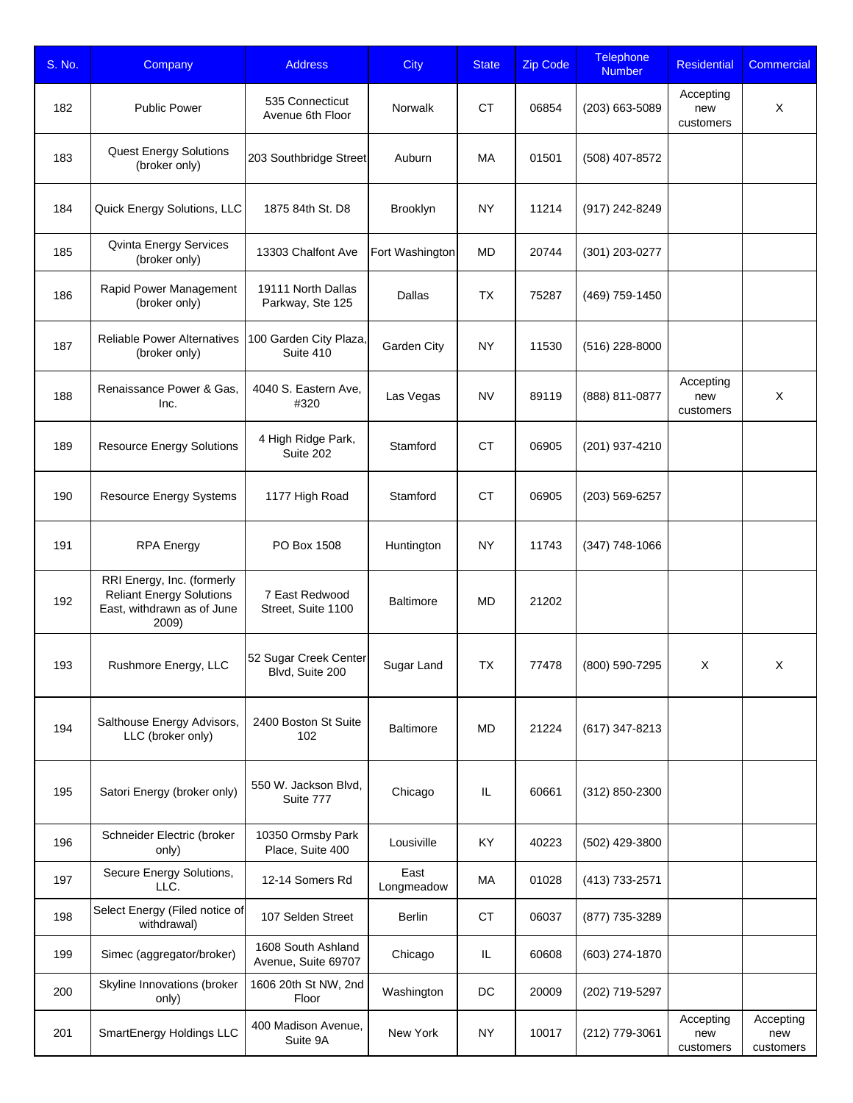| S. No. | Company                                                                                              | <b>Address</b>                            | <b>City</b>        | <b>State</b> | <b>Zip Code</b> | <b>Telephone</b><br><b>Number</b> | <b>Residential</b>            | Commercial                    |
|--------|------------------------------------------------------------------------------------------------------|-------------------------------------------|--------------------|--------------|-----------------|-----------------------------------|-------------------------------|-------------------------------|
| 182    | <b>Public Power</b>                                                                                  | 535 Connecticut<br>Avenue 6th Floor       | Norwalk            | <b>CT</b>    | 06854           | (203) 663-5089                    | Accepting<br>new<br>customers | X                             |
| 183    | <b>Quest Energy Solutions</b><br>(broker only)                                                       | 203 Southbridge Street                    | Auburn             | МA           | 01501           | (508) 407-8572                    |                               |                               |
| 184    | Quick Energy Solutions, LLC                                                                          | 1875 84th St. D8                          | Brooklyn           | NY           | 11214           | (917) 242-8249                    |                               |                               |
| 185    | <b>Qvinta Energy Services</b><br>(broker only)                                                       | 13303 Chalfont Ave                        | Fort Washington    | MD           | 20744           | (301) 203-0277                    |                               |                               |
| 186    | Rapid Power Management<br>(broker only)                                                              | 19111 North Dallas<br>Parkway, Ste 125    | Dallas             | <b>TX</b>    | 75287           | (469) 759-1450                    |                               |                               |
| 187    | <b>Reliable Power Alternatives</b><br>(broker only)                                                  | 100 Garden City Plaza,<br>Suite 410       | Garden City        | <b>NY</b>    | 11530           | (516) 228-8000                    |                               |                               |
| 188    | Renaissance Power & Gas,<br>Inc.                                                                     | 4040 S. Eastern Ave.<br>#320              | Las Vegas          | <b>NV</b>    | 89119           | (888) 811-0877                    | Accepting<br>new<br>customers | X                             |
| 189    | <b>Resource Energy Solutions</b>                                                                     | 4 High Ridge Park,<br>Suite 202           | Stamford           | <b>CT</b>    | 06905           | (201) 937-4210                    |                               |                               |
| 190    | Resource Energy Systems                                                                              | 1177 High Road                            | Stamford           | <b>CT</b>    | 06905           | (203) 569-6257                    |                               |                               |
| 191    | <b>RPA Energy</b>                                                                                    | PO Box 1508                               | Huntington         | NY           | 11743           | (347) 748-1066                    |                               |                               |
| 192    | RRI Energy, Inc. (formerly<br><b>Reliant Energy Solutions</b><br>East, withdrawn as of June<br>2009) | 7 East Redwood<br>Street, Suite 1100      | <b>Baltimore</b>   | <b>MD</b>    | 21202           |                                   |                               |                               |
| 193    | Rushmore Energy, LLC                                                                                 | 52 Sugar Creek Center<br>Blvd, Suite 200  | Sugar Land         | <b>TX</b>    | 77478           | (800) 590-7295                    | X                             | X                             |
| 194    | Salthouse Energy Advisors,<br>LLC (broker only)                                                      | 2400 Boston St Suite<br>102               | <b>Baltimore</b>   | MD           | 21224           | (617) 347-8213                    |                               |                               |
| 195    | Satori Energy (broker only)                                                                          | 550 W. Jackson Blvd,<br>Suite 777         | Chicago            | IL           | 60661           | (312) 850-2300                    |                               |                               |
| 196    | Schneider Electric (broker<br>only)                                                                  | 10350 Ormsby Park<br>Place, Suite 400     | Lousiville         | KY.          | 40223           | (502) 429-3800                    |                               |                               |
| 197    | Secure Energy Solutions,<br>LLC.                                                                     | 12-14 Somers Rd                           | East<br>Longmeadow | МA           | 01028           | (413) 733-2571                    |                               |                               |
| 198    | Select Energy (Filed notice of<br>withdrawal)                                                        | 107 Selden Street                         | <b>Berlin</b>      | <b>CT</b>    | 06037           | (877) 735-3289                    |                               |                               |
| 199    | Simec (aggregator/broker)                                                                            | 1608 South Ashland<br>Avenue, Suite 69707 | Chicago            | IL           | 60608           | (603) 274-1870                    |                               |                               |
| 200    | Skyline Innovations (broker<br>only)                                                                 | 1606 20th St NW, 2nd<br>Floor             | Washington         | DC           | 20009           | (202) 719-5297                    |                               |                               |
| 201    | SmartEnergy Holdings LLC                                                                             | 400 Madison Avenue,<br>Suite 9A           | New York           | NY           | 10017           | (212) 779-3061                    | Accepting<br>new<br>customers | Accepting<br>new<br>customers |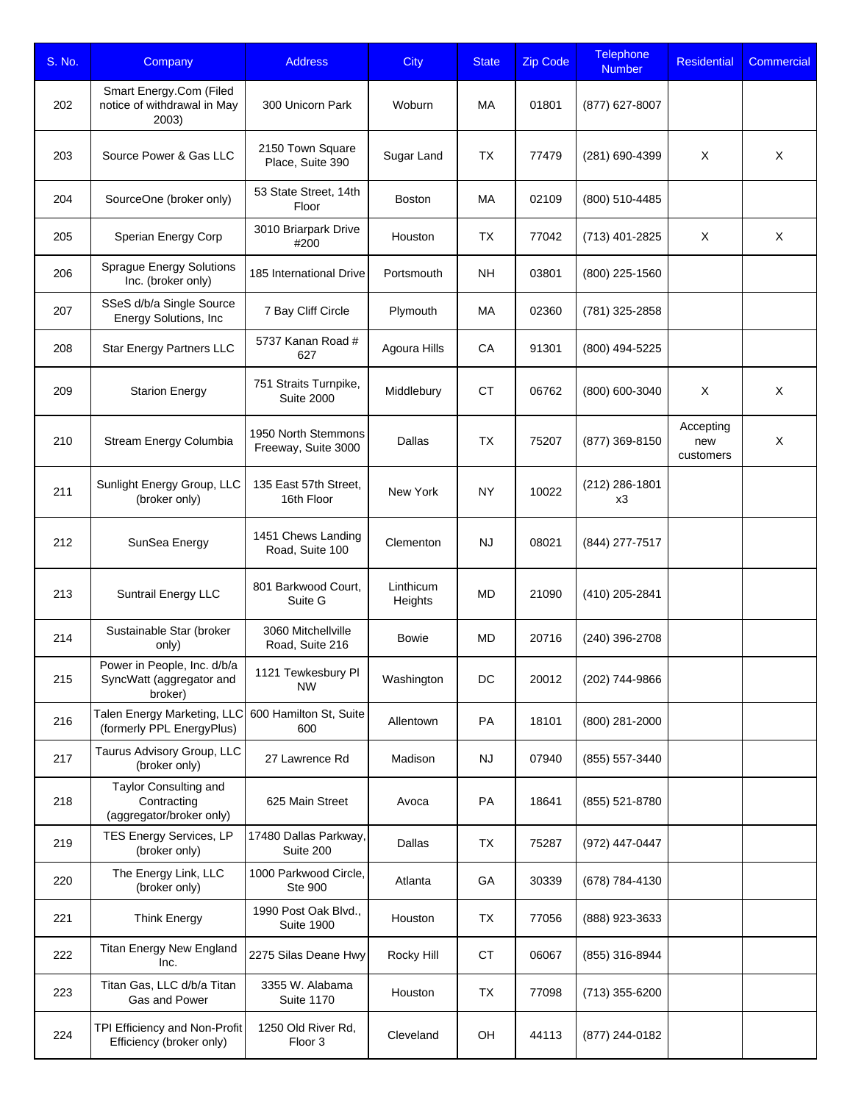| S. No. | Company                                                            | <b>Address</b>                             | <b>City</b>          | <b>State</b> | <b>Zip Code</b> | <b>Telephone</b><br><b>Number</b> | <b>Residential</b>            | Commercial |
|--------|--------------------------------------------------------------------|--------------------------------------------|----------------------|--------------|-----------------|-----------------------------------|-------------------------------|------------|
| 202    | Smart Energy.Com (Filed<br>notice of withdrawal in May<br>2003)    | 300 Unicorn Park                           | Woburn               | МA           | 01801           | (877) 627-8007                    |                               |            |
| 203    | Source Power & Gas LLC                                             | 2150 Town Square<br>Place, Suite 390       | Sugar Land           | TX           | 77479           | (281) 690-4399                    | Χ                             | X          |
| 204    | SourceOne (broker only)                                            | 53 State Street, 14th<br>Floor             | <b>Boston</b>        | МA           | 02109           | (800) 510-4485                    |                               |            |
| 205    | Sperian Energy Corp                                                | 3010 Briarpark Drive<br>#200               | Houston              | <b>TX</b>    | 77042           | (713) 401-2825                    | X                             | X          |
| 206    | <b>Sprague Energy Solutions</b><br>Inc. (broker only)              | 185 International Drive                    | Portsmouth           | <b>NH</b>    | 03801           | (800) 225-1560                    |                               |            |
| 207    | SSeS d/b/a Single Source<br>Energy Solutions, Inc                  | 7 Bay Cliff Circle                         | Plymouth             | МA           | 02360           | (781) 325-2858                    |                               |            |
| 208    | Star Energy Partners LLC                                           | 5737 Kanan Road #<br>627                   | Agoura Hills         | CA           | 91301           | (800) 494-5225                    |                               |            |
| 209    | <b>Starion Energy</b>                                              | 751 Straits Turnpike,<br><b>Suite 2000</b> | Middlebury           | <b>CT</b>    | 06762           | (800) 600-3040                    | X                             | X          |
| 210    | Stream Energy Columbia                                             | 1950 North Stemmons<br>Freeway, Suite 3000 | Dallas               | <b>TX</b>    | 75207           | (877) 369-8150                    | Accepting<br>new<br>customers | X          |
| 211    | Sunlight Energy Group, LLC<br>(broker only)                        | 135 East 57th Street,<br>16th Floor        | New York             | <b>NY</b>    | 10022           | (212) 286-1801<br>x3              |                               |            |
| 212    | SunSea Energy                                                      | 1451 Chews Landing<br>Road, Suite 100      | Clementon            | <b>NJ</b>    | 08021           | (844) 277-7517                    |                               |            |
| 213    | Suntrail Energy LLC                                                | 801 Barkwood Court,<br>Suite G             | Linthicum<br>Heights | MD           | 21090           | (410) 205-2841                    |                               |            |
| 214    | Sustainable Star (broker<br>only)                                  | 3060 Mitchellville<br>Road, Suite 216      | Bowie                | <b>MD</b>    | 20716           | (240) 396-2708                    |                               |            |
| 215    | Power in People, Inc. d/b/a<br>SyncWatt (aggregator and<br>broker) | 1121 Tewkesbury Pl<br><b>NW</b>            | Washington           | DC           | 20012           | (202) 744-9866                    |                               |            |
| 216    | Talen Energy Marketing, LLC<br>(formerly PPL EnergyPlus)           | 600 Hamilton St, Suite<br>600              | Allentown            | PA           | 18101           | (800) 281-2000                    |                               |            |
| 217    | Taurus Advisory Group, LLC<br>(broker only)                        | 27 Lawrence Rd                             | Madison              | <b>NJ</b>    | 07940           | (855) 557-3440                    |                               |            |
| 218    | Taylor Consulting and<br>Contracting<br>(aggregator/broker only)   | 625 Main Street                            | Avoca                | PA           | 18641           | (855) 521-8780                    |                               |            |
| 219    | TES Energy Services, LP<br>(broker only)                           | 17480 Dallas Parkway,<br>Suite 200         | Dallas               | <b>TX</b>    | 75287           | (972) 447-0447                    |                               |            |
| 220    | The Energy Link, LLC<br>(broker only)                              | 1000 Parkwood Circle,<br>Ste 900           | Atlanta              | GA           | 30339           | (678) 784-4130                    |                               |            |
| 221    | <b>Think Energy</b>                                                | 1990 Post Oak Blvd.,<br><b>Suite 1900</b>  | Houston              | TX           | 77056           | (888) 923-3633                    |                               |            |
| 222    | <b>Titan Energy New England</b><br>Inc.                            | 2275 Silas Deane Hwy                       | Rocky Hill           | СT           | 06067           | (855) 316-8944                    |                               |            |
| 223    | Titan Gas, LLC d/b/a Titan<br>Gas and Power                        | 3355 W. Alabama<br><b>Suite 1170</b>       | Houston              | TX           | 77098           | (713) 355-6200                    |                               |            |
| 224    | TPI Efficiency and Non-Profit<br>Efficiency (broker only)          | 1250 Old River Rd,<br>Floor 3              | Cleveland            | OH           | 44113           | (877) 244-0182                    |                               |            |